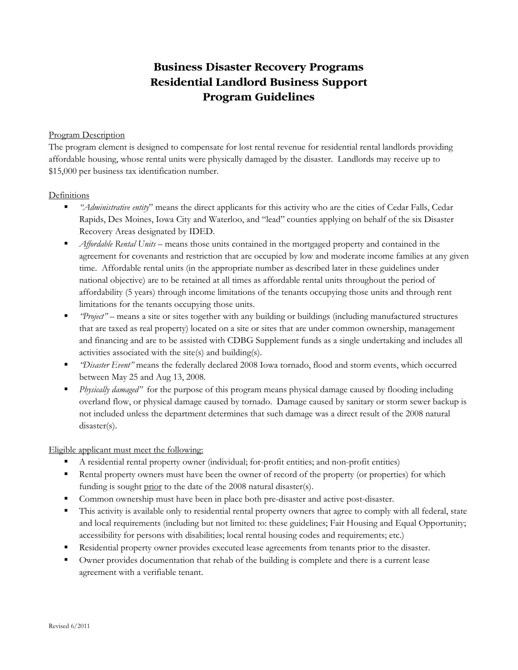# **Business Disaster Recovery Programs Residential Landlord Business Support Program Guidelines**

### Program Description

The program element is designed to compensate for lost rental revenue for residential rental landlords providing affordable housing, whose rental units were physically damaged by the disaster. Landlords may receive up to \$15,000 per business tax identification number.

#### Definitions

- *"Administrative entity*" means the direct applicants for this activity who are the cities of Cedar Falls, Cedar Rapids, Des Moines, Iowa City and Waterloo, and "lead" counties applying on behalf of the six Disaster Recovery Areas designated by IDED.
- *Affordable Rental Units* means those units contained in the mortgaged property and contained in the agreement for covenants and restriction that are occupied by low and moderate income families at any given time. Affordable rental units (in the appropriate number as described later in these guidelines under national objective) are to be retained at all times as affordable rental units throughout the period of affordability (5 years) through income limitations of the tenants occupying those units and through rent limitations for the tenants occupying those units.
- *"Project"*  means a site or sites together with any building or buildings (including manufactured structures that are taxed as real property) located on a site or sites that are under common ownership, management and financing and are to be assisted with CDBG Supplement funds as a single undertaking and includes all activities associated with the site(s) and building(s).
- *"Disaster Event"* means the federally declared 2008 Iowa tornado, flood and storm events, which occurred between May 25 and Aug 13, 2008.
- *Physically damaged"* for the purpose of this program means physical damage caused by flooding including overland flow, or physical damage caused by tornado. Damage caused by sanitary or storm sewer backup is not included unless the department determines that such damage was a direct result of the 2008 natural disaster(s).

## Eligible applicant must meet the following:

- A residential rental property owner (individual; for-profit entities; and non-profit entities)
- Rental property owners must have been the owner of record of the property (or properties) for which funding is sought prior to the date of the 2008 natural disaster(s).
- Common ownership must have been in place both pre-disaster and active post-disaster.
- This activity is available only to residential rental property owners that agree to comply with all federal, state and local requirements (including but not limited to: these guidelines; Fair Housing and Equal Opportunity; accessibility for persons with disabilities; local rental housing codes and requirements; etc.)
- Residential property owner provides executed lease agreements from tenants prior to the disaster.
- Owner provides documentation that rehab of the building is complete and there is a current lease agreement with a verifiable tenant.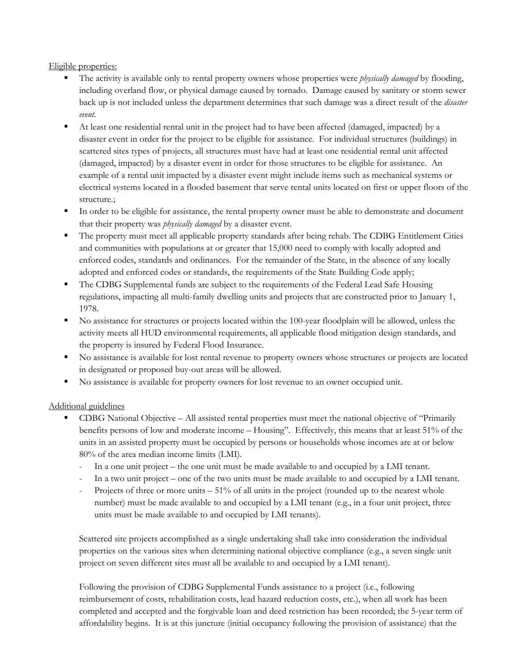Eligible properties:

- The activity is available only to rental property owners whose properties were *physically damaged* by flooding, including overland flow, or physical damage caused by tornado. Damage caused by sanitary or storm sewer back up is not included unless the department determines that such damage was a direct result of the *disaster event.*
- At least one residential rental unit in the project had to have been affected (damaged, impacted) by a disaster event in order for the project to be eligible for assistance. For individual structures (buildings) in scattered sites types of projects, all structures must have had at least one residential rental unit affected (damaged, impacted) by a disaster event in order for those structures to be eligible for assistance. An example of a rental unit impacted by a disaster event might include items such as mechanical systems or electrical systems located in a flooded basement that serve rental units located on first or upper floors of the structure.;
- In order to be eligible for assistance, the rental property owner must be able to demonstrate and document that their property was *physically damaged* by a disaster event.
- The property must meet all applicable property standards after being rehab. The CDBG Entitlement Cities and communities with populations at or greater that 15,000 need to comply with locally adopted and enforced codes, standards and ordinances. For the remainder of the State, in the absence of any locally adopted and enforced codes or standards, the requirements of the State Building Code apply;
- The CDBG Supplemental funds are subject to the requirements of the Federal Lead Safe Housing regulations, impacting all multi-family dwelling units and projects that are constructed prior to January 1, 1978.
- No assistance for structures or projects located within the 100-year floodplain will be allowed, unless the activity meets all HUD environmental requirements, all applicable flood mitigation design standards, and the property is insured by Federal Flood Insurance.
- No assistance is available for lost rental revenue to property owners whose structures or projects are located in designated or proposed buy-out areas will be allowed.
- No assistance is available for property owners for lost revenue to an owner occupied unit.

#### Additional guidelines

- CDBG National Objective All assisted rental properties must meet the national objective of "Primarily benefits persons of low and moderate income – Housing". Effectively, this means that at least 51% of the units in an assisted property must be occupied by persons or households whose incomes are at or below 80% of the area median income limits (LMI).
	- In a one unit project the one unit must be made available to and occupied by a LMI tenant.
	- In a two unit project one of the two units must be made available to and occupied by a LMI tenant.
	- Projects of three or more units  $-51\%$  of all units in the project (rounded up to the nearest whole number) must be made available to and occupied by a LMI tenant (e.g., in a four unit project, three units must be made available to and occupied by LMI tenants).

Scattered site projects accomplished as a single undertaking shall take into consideration the individual properties on the various sites when determining national objective compliance (e.g., a seven single unit project on seven different sites must all be available to and occupied by a LMI tenant).

Following the provision of CDBG Supplemental Funds assistance to a project (i.e., following reimbursement of costs, rehabilitation costs, lead hazard reduction costs, etc.), when all work has been completed and accepted and the forgivable loan and deed restriction has been recorded; the 5-year term of affordability begins. It is at this juncture (initial occupancy following the provision of assistance) that the